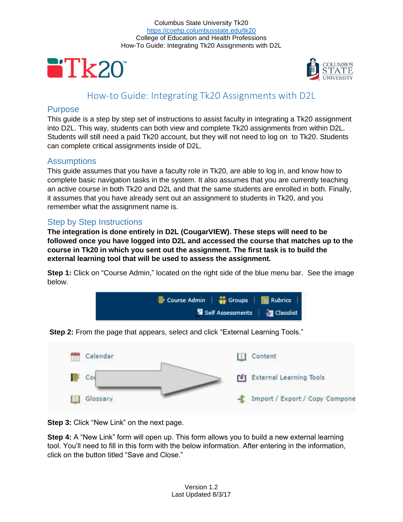Columbus State University Tk20 <https://coehp.columbusstate.edu/tk20> College of Education and Health Professions How-To Guide: Integrating Tk20 Assignments with D2L





# How-to Guide: Integrating Tk20 Assignments with D2L

#### **Purpose**

This guide is a step by step set of instructions to assist faculty in integrating a Tk20 assignment into D2L. This way, students can both view and complete Tk20 assignments from within D2L. Students will still need a paid Tk20 account, but they will not need to log on to Tk20. Students can complete critical assignments inside of D2L.

### Assumptions

This guide assumes that you have a faculty role in Tk20, are able to log in, and know how to complete basic navigation tasks in the system. It also assumes that you are currently teaching an active course in both Tk20 and D2L and that the same students are enrolled in both. Finally, it assumes that you have already sent out an assignment to students in Tk20, and you remember what the assignment name is.

## Step by Step Instructions

**The integration is done entirely in D2L (CougarVIEW). These steps will need to be followed once you have logged into D2L and accessed the course that matches up to the course in Tk20 in which you sent out the assignment. The first task is to build the external learning tool that will be used to assess the assignment.**

**Step 1:** Click on "Course Admin," located on the right side of the blue menu bar. See the image below.



**Step 2:** From the page that appears, select and click "External Learning Tools."



**Step 3: Click "New Link" on the next page.** 

**Step 4:** A "New Link" form will open up. This form allows you to build a new external learning tool. You'll need to fill in this form with the below information. After entering in the information, click on the button titled "Save and Close."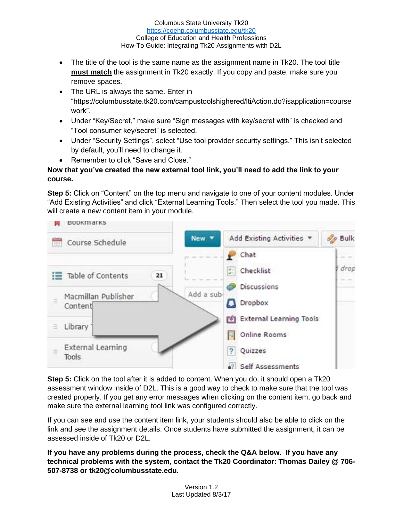Columbus State University Tk20 <https://coehp.columbusstate.edu/tk20> College of Education and Health Professions How-To Guide: Integrating Tk20 Assignments with D2L

- The title of the tool is the same name as the assignment name in Tk20. The tool title **must match** the assignment in Tk20 exactly. If you copy and paste, make sure you remove spaces.
- The URL is always the same. Enter in "https://columbusstate.tk20.com/campustoolshighered/ltiAction.do?isapplication=course work".
- Under "Key/Secret," make sure "Sign messages with key/secret with" is checked and "Tool consumer key/secret" is selected.
- Under "Security Settings", select "Use tool provider security settings." This isn't selected by default, you'll need to change it.
- Remember to click "Save and Close."

#### **Now that you've created the new external tool link, you'll need to add the link to your course.**

**Step 5:** Click on "Content" on the top menu and navigate to one of your content modules. Under "Add Existing Activities" and click "External Learning Tools." Then select the tool you made. This will create a new content item in your module.



**Step 5:** Click on the tool after it is added to content. When you do, it should open a Tk20 assessment window inside of D2L. This is a good way to check to make sure that the tool was created properly. If you get any error messages when clicking on the content item, go back and make sure the external learning tool link was configured correctly.

If you can see and use the content item link, your students should also be able to click on the link and see the assignment details. Once students have submitted the assignment, it can be assessed inside of Tk20 or D2L.

**If you have any problems during the process, check the Q&A below. If you have any technical problems with the system, contact the Tk20 Coordinator: Thomas Dailey @ 706- 507-8738 or tk20@columbusstate.edu.**